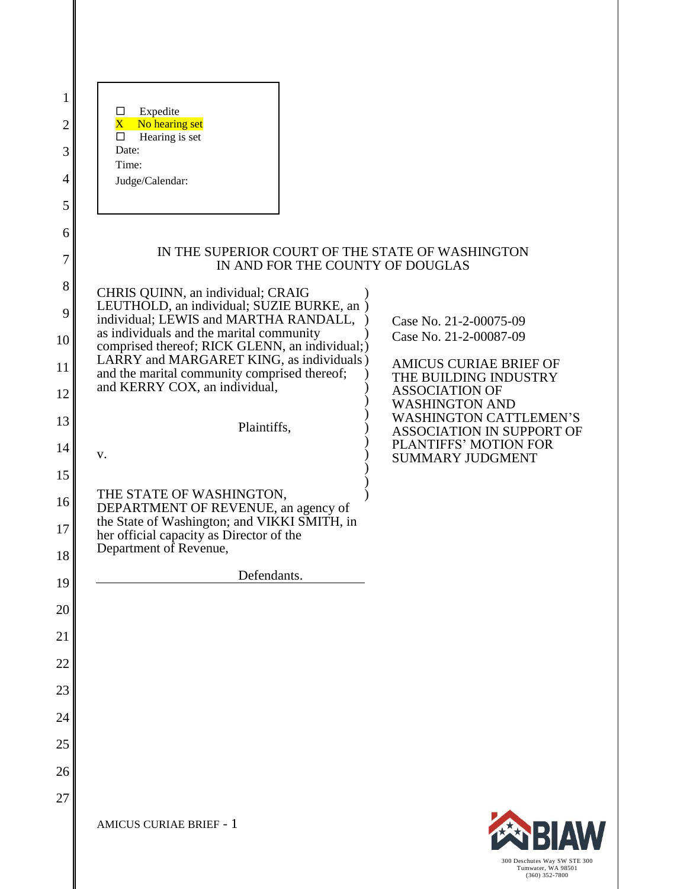| 1      |                                                                                            |                                                            |
|--------|--------------------------------------------------------------------------------------------|------------------------------------------------------------|
| 2      | Expedite<br>ப<br>No hearing set<br>$\mathbf{X}^+$                                          |                                                            |
| 3      | Hearing is set<br>□<br>Date:                                                               |                                                            |
| 4      | Time:                                                                                      |                                                            |
| 5      | Judge/Calendar:                                                                            |                                                            |
|        |                                                                                            |                                                            |
| 6<br>7 | IN THE SUPERIOR COURT OF THE STATE OF WASHINGTON<br>IN AND FOR THE COUNTY OF DOUGLAS       |                                                            |
| 8      | CHRIS QUINN, an individual; CRAIG                                                          |                                                            |
| 9      | LEUTHOLD, an individual; SUZIE BURKE, an )<br>individual; LEWIS and MARTHA RANDALL,        | Case No. 21-2-00075-09                                     |
| 10     | as individuals and the marital community<br>comprised thereof; RICK GLENN, an individual;) | Case No. 21-2-00087-09                                     |
| 11     | LARRY and MARGARET KING, as individuals)<br>and the marital community comprised thereof;   | <b>AMICUS CURIAE BRIEF OF</b><br>THE BUILDING INDUSTRY     |
| 12     | and KERRY COX, an individual,                                                              | <b>ASSOCIATION OF</b><br><b>WASHINGTON AND</b>             |
| 13     | Plaintiffs,                                                                                | <b>WASHINGTON CATTLEMEN'S</b><br>ASSOCIATION IN SUPPORT OF |
| 14     | V.                                                                                         | PLANTIFFS' MOTION FOR<br><b>SUMMARY JUDGMENT</b>           |
| 15     |                                                                                            |                                                            |
| 16     | THE STATE OF WASHINGTON,<br>DEPARTMENT OF REVENUE, an agency of                            |                                                            |
| 17     | the State of Washington; and VIKKI SMITH, in<br>her official capacity as Director of the   |                                                            |
| 18     | Department of Revenue,                                                                     |                                                            |
| 19     | Defendants.                                                                                |                                                            |
| 20     |                                                                                            |                                                            |
| 21     |                                                                                            |                                                            |
| 22     |                                                                                            |                                                            |
| 23     |                                                                                            |                                                            |
| 24     |                                                                                            |                                                            |
| 25     |                                                                                            |                                                            |
| 26     |                                                                                            |                                                            |
| 27     |                                                                                            |                                                            |
|        | <b>AMICUS CURIAE BRIEF - 1</b>                                                             | <b>EN BIAW</b>                                             |

300 Deschutes Way SW STE 300 Tumwater, WA 98501 (360) 352-7800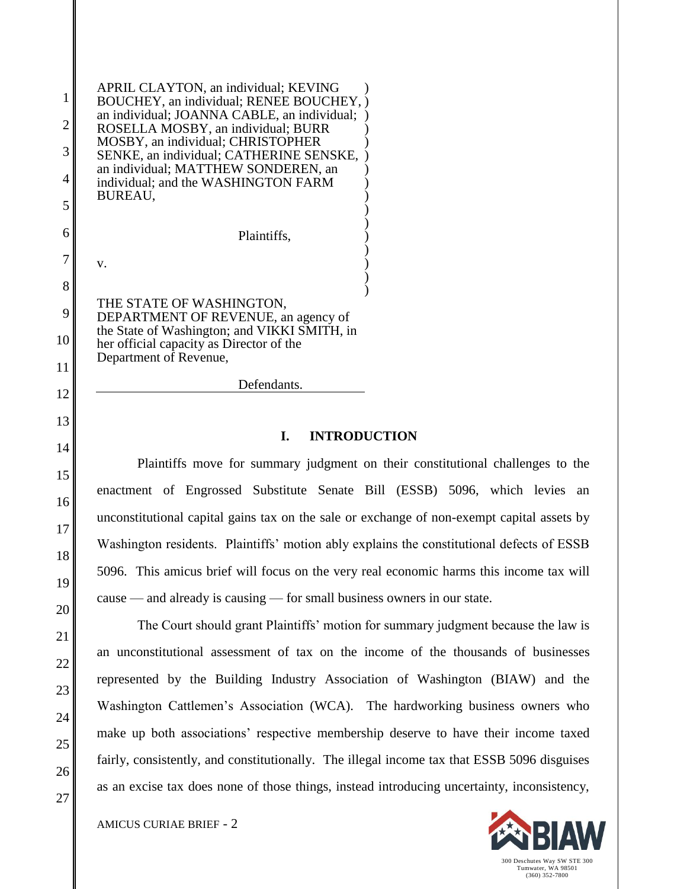| APRIL CLAYTON, an individual; KEVING<br>BOUCHEY, an individual; RENEE BOUCHEY, )<br>an individual; JOANNA CABLE, an individual;<br>ROSELLA MOSBY, an individual; BURR<br>MOSBY, an individual; CHRISTOPHER<br>SENKE, an individual; CATHERINE SENSKE,<br>an individual; MATTHEW SONDEREN, an<br>individual; and the WASHINGTON FARM<br>BUREAU, |  |
|------------------------------------------------------------------------------------------------------------------------------------------------------------------------------------------------------------------------------------------------------------------------------------------------------------------------------------------------|--|
| Plaintiffs,<br>$V_{\cdot}$                                                                                                                                                                                                                                                                                                                     |  |
| THE STATE OF WASHINGTON,<br>DEPARTMENT OF REVENUE, an agency of<br>the State of Washington; and VIKKI SMITH, in<br>her official capacity as Director of the<br>Department of Revenue,                                                                                                                                                          |  |
| Defendants.                                                                                                                                                                                                                                                                                                                                    |  |

#### **I. INTRODUCTION**

Plaintiffs move for summary judgment on their constitutional challenges to the enactment of Engrossed Substitute Senate Bill (ESSB) 5096, which levies an unconstitutional capital gains tax on the sale or exchange of non-exempt capital assets by Washington residents. Plaintiffs' motion ably explains the constitutional defects of ESSB 5096. This amicus brief will focus on the very real economic harms this income tax will cause — and already is causing — for small business owners in our state.

The Court should grant Plaintiffs' motion for summary judgment because the law is an unconstitutional assessment of tax on the income of the thousands of businesses represented by the Building Industry Association of Washington (BIAW) and the Washington Cattlemen's Association (WCA). The hardworking business owners who make up both associations' respective membership deserve to have their income taxed fairly, consistently, and constitutionally. The illegal income tax that ESSB 5096 disguises as an excise tax does none of those things, instead introducing uncertainty, inconsistency,

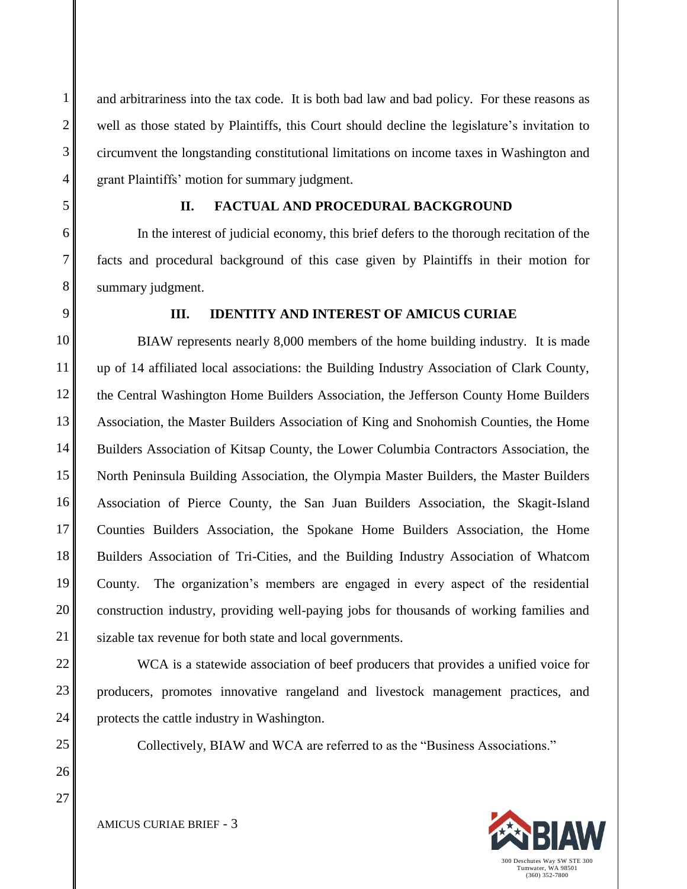and arbitrariness into the tax code. It is both bad law and bad policy. For these reasons as well as those stated by Plaintiffs, this Court should decline the legislature's invitation to circumvent the longstanding constitutional limitations on income taxes in Washington and grant Plaintiffs' motion for summary judgment.

# **II. FACTUAL AND PROCEDURAL BACKGROUND**

In the interest of judicial economy, this brief defers to the thorough recitation of the facts and procedural background of this case given by Plaintiffs in their motion for summary judgment.

# **III. IDENTITY AND INTEREST OF AMICUS CURIAE**

BIAW represents nearly 8,000 members of the home building industry. It is made up of 14 affiliated local associations: the Building Industry Association of Clark County, the Central Washington Home Builders Association, the Jefferson County Home Builders Association, the Master Builders Association of King and Snohomish Counties, the Home Builders Association of Kitsap County, the Lower Columbia Contractors Association, the North Peninsula Building Association, the Olympia Master Builders, the Master Builders Association of Pierce County, the San Juan Builders Association, the Skagit-Island Counties Builders Association, the Spokane Home Builders Association, the Home Builders Association of Tri-Cities, and the Building Industry Association of Whatcom County. The organization's members are engaged in every aspect of the residential construction industry, providing well-paying jobs for thousands of working families and sizable tax revenue for both state and local governments.

WCA is a statewide association of beef producers that provides a unified voice for producers, promotes innovative rangeland and livestock management practices, and protects the cattle industry in Washington.

Collectively, BIAW and WCA are referred to as the "Business Associations."

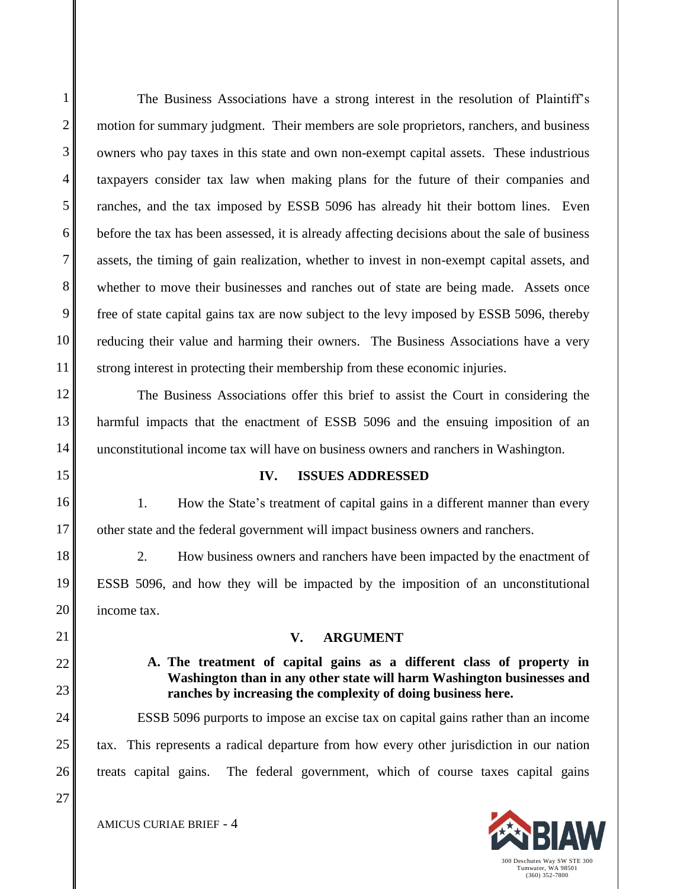1

2

The Business Associations have a strong interest in the resolution of Plaintiff's motion for summary judgment. Their members are sole proprietors, ranchers, and business owners who pay taxes in this state and own non-exempt capital assets. These industrious taxpayers consider tax law when making plans for the future of their companies and ranches, and the tax imposed by ESSB 5096 has already hit their bottom lines. Even before the tax has been assessed, it is already affecting decisions about the sale of business assets, the timing of gain realization, whether to invest in non-exempt capital assets, and whether to move their businesses and ranches out of state are being made. Assets once free of state capital gains tax are now subject to the levy imposed by ESSB 5096, thereby reducing their value and harming their owners. The Business Associations have a very strong interest in protecting their membership from these economic injuries.

The Business Associations offer this brief to assist the Court in considering the harmful impacts that the enactment of ESSB 5096 and the ensuing imposition of an unconstitutional income tax will have on business owners and ranchers in Washington.

#### **IV. ISSUES ADDRESSED**

1. How the State's treatment of capital gains in a different manner than every other state and the federal government will impact business owners and ranchers.

2. How business owners and ranchers have been impacted by the enactment of ESSB 5096, and how they will be impacted by the imposition of an unconstitutional income tax.

#### **V. ARGUMENT**

### **A. The treatment of capital gains as a different class of property in Washington than in any other state will harm Washington businesses and ranches by increasing the complexity of doing business here.**

ESSB 5096 purports to impose an excise tax on capital gains rather than an income tax. This represents a radical departure from how every other jurisdiction in our nation treats capital gains. The federal government, which of course taxes capital gains

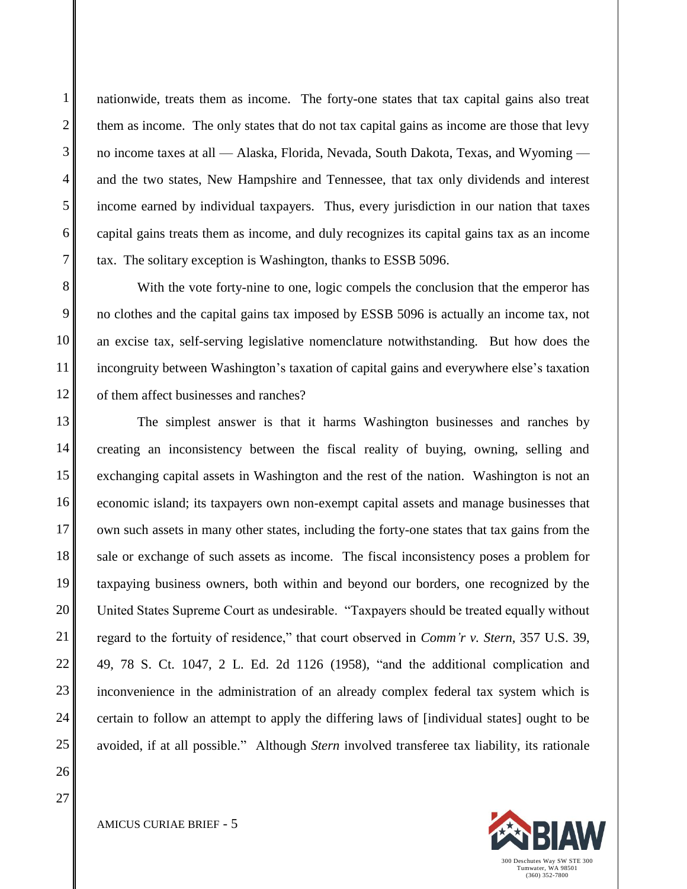nationwide, treats them as income. The forty-one states that tax capital gains also treat them as income. The only states that do not tax capital gains as income are those that levy no income taxes at all — Alaska, Florida, Nevada, South Dakota, Texas, and Wyoming and the two states, New Hampshire and Tennessee, that tax only dividends and interest income earned by individual taxpayers. Thus, every jurisdiction in our nation that taxes capital gains treats them as income, and duly recognizes its capital gains tax as an income tax. The solitary exception is Washington, thanks to ESSB 5096.

With the vote forty-nine to one, logic compels the conclusion that the emperor has no clothes and the capital gains tax imposed by ESSB 5096 is actually an income tax, not an excise tax, self-serving legislative nomenclature notwithstanding. But how does the incongruity between Washington's taxation of capital gains and everywhere else's taxation of them affect businesses and ranches?

The simplest answer is that it harms Washington businesses and ranches by creating an inconsistency between the fiscal reality of buying, owning, selling and exchanging capital assets in Washington and the rest of the nation. Washington is not an economic island; its taxpayers own non-exempt capital assets and manage businesses that own such assets in many other states, including the forty-one states that tax gains from the sale or exchange of such assets as income. The fiscal inconsistency poses a problem for taxpaying business owners, both within and beyond our borders, one recognized by the United States Supreme Court as undesirable. "Taxpayers should be treated equally without regard to the fortuity of residence," that court observed in *Comm'r v. Stern*, 357 U.S. 39, 49, 78 S. Ct. 1047, 2 L. Ed. 2d 1126 (1958), "and the additional complication and inconvenience in the administration of an already complex federal tax system which is certain to follow an attempt to apply the differing laws of [individual states] ought to be avoided, if at all possible." Although *Stern* involved transferee tax liability, its rationale

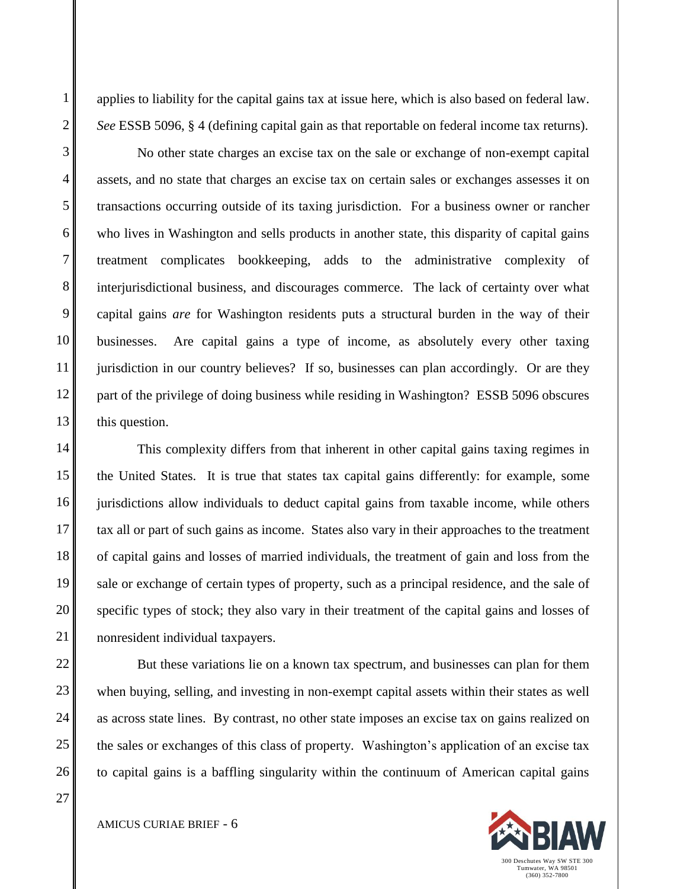applies to liability for the capital gains tax at issue here, which is also based on federal law. *See* ESSB 5096, § 4 (defining capital gain as that reportable on federal income tax returns).

No other state charges an excise tax on the sale or exchange of non-exempt capital assets, and no state that charges an excise tax on certain sales or exchanges assesses it on transactions occurring outside of its taxing jurisdiction. For a business owner or rancher who lives in Washington and sells products in another state, this disparity of capital gains treatment complicates bookkeeping, adds to the administrative complexity of interjurisdictional business, and discourages commerce. The lack of certainty over what capital gains *are* for Washington residents puts a structural burden in the way of their businesses. Are capital gains a type of income, as absolutely every other taxing jurisdiction in our country believes? If so, businesses can plan accordingly. Or are they part of the privilege of doing business while residing in Washington? ESSB 5096 obscures this question.

This complexity differs from that inherent in other capital gains taxing regimes in the United States. It is true that states tax capital gains differently: for example, some jurisdictions allow individuals to deduct capital gains from taxable income, while others tax all or part of such gains as income. States also vary in their approaches to the treatment of capital gains and losses of married individuals, the treatment of gain and loss from the sale or exchange of certain types of property, such as a principal residence, and the sale of specific types of stock; they also vary in their treatment of the capital gains and losses of nonresident individual taxpayers.

But these variations lie on a known tax spectrum, and businesses can plan for them when buying, selling, and investing in non-exempt capital assets within their states as well as across state lines. By contrast, no other state imposes an excise tax on gains realized on the sales or exchanges of this class of property. Washington's application of an excise tax to capital gains is a baffling singularity within the continuum of American capital gains

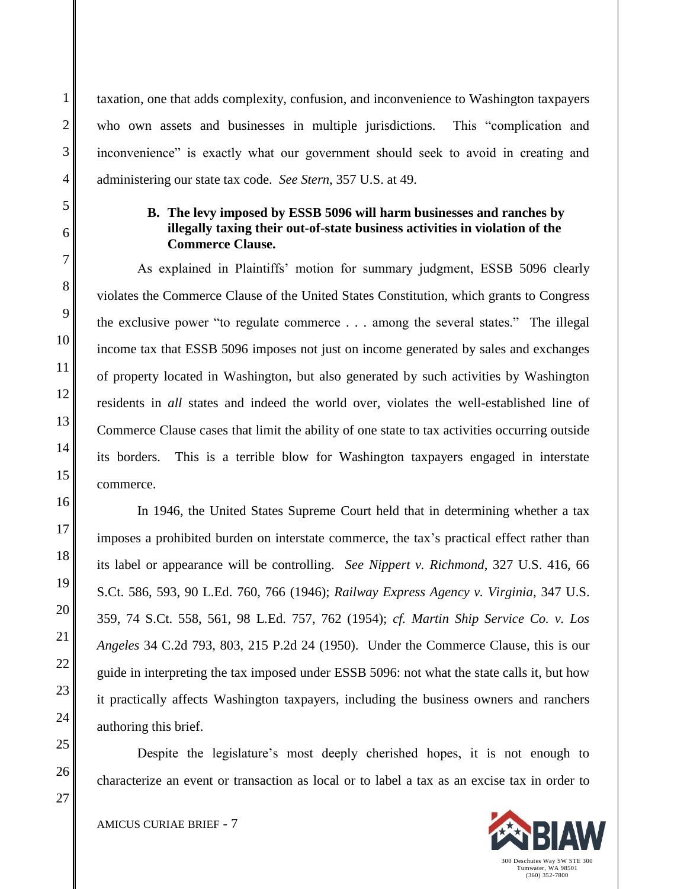taxation, one that adds complexity, confusion, and inconvenience to Washington taxpayers who own assets and businesses in multiple jurisdictions*.* This "complication and inconvenience" is exactly what our government should seek to avoid in creating and administering our state tax code. *See Stern*, 357 U.S. at 49.

### **B. The levy imposed by ESSB 5096 will harm businesses and ranches by illegally taxing their out-of-state business activities in violation of the Commerce Clause.**

As explained in Plaintiffs' motion for summary judgment, ESSB 5096 clearly violates the Commerce Clause of the United States Constitution, which grants to Congress the exclusive power "to regulate commerce . . . among the several states." The illegal income tax that ESSB 5096 imposes not just on income generated by sales and exchanges of property located in Washington, but also generated by such activities by Washington residents in *all* states and indeed the world over, violates the well-established line of Commerce Clause cases that limit the ability of one state to tax activities occurring outside its borders. This is a terrible blow for Washington taxpayers engaged in interstate commerce.

In 1946, the United States Supreme Court held that in determining whether a tax imposes a prohibited burden on interstate commerce, the tax's practical effect rather than its label or appearance will be controlling. *See Nippert v. Richmond*, 327 U.S. 416, 66 S.Ct. 586, 593, 90 L.Ed. 760, 766 (1946); *Railway Express Agency v. Virginia*, 347 U.S. 359, 74 S.Ct. 558, 561, 98 L.Ed. 757, 762 (1954); *cf. Martin Ship Service Co. v. Los Angeles* 34 C.2d 793, 803, 215 P.2d 24 (1950). Under the Commerce Clause, this is our guide in interpreting the tax imposed under ESSB 5096: not what the state calls it, but how it practically affects Washington taxpayers, including the business owners and ranchers authoring this brief.

Despite the legislature's most deeply cherished hopes, it is not enough to characterize an event or transaction as local or to label a tax as an excise tax in order to

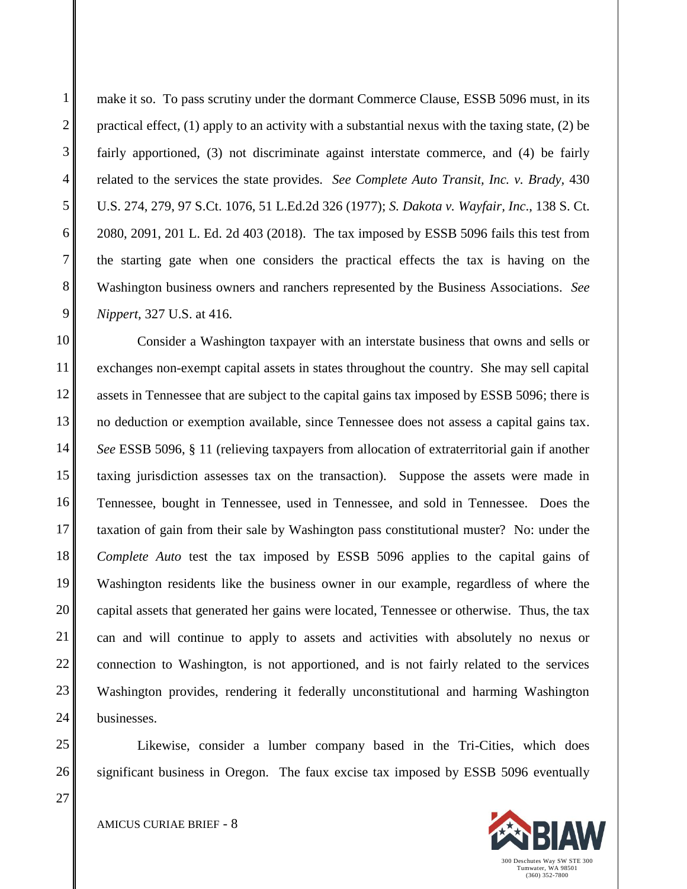make it so. To pass scrutiny under the dormant Commerce Clause, ESSB 5096 must, in its practical effect, (1) apply to an activity with a substantial nexus with the taxing state, (2) be fairly apportioned, (3) not discriminate against interstate commerce, and (4) be fairly related to the services the state provides. *See Complete Auto Transit, Inc. v. Brady,* 430 U.S. 274, 279, 97 S.Ct. 1076, 51 L.Ed.2d 326 (1977); *S. Dakota v. Wayfair, Inc*., 138 S. Ct. 2080, 2091, 201 L. Ed. 2d 403 (2018). The tax imposed by ESSB 5096 fails this test from the starting gate when one considers the practical effects the tax is having on the Washington business owners and ranchers represented by the Business Associations. *See Nippert*, 327 U.S. at 416.

Consider a Washington taxpayer with an interstate business that owns and sells or exchanges non-exempt capital assets in states throughout the country. She may sell capital assets in Tennessee that are subject to the capital gains tax imposed by ESSB 5096; there is no deduction or exemption available, since Tennessee does not assess a capital gains tax. *See* ESSB 5096, § 11 (relieving taxpayers from allocation of extraterritorial gain if another taxing jurisdiction assesses tax on the transaction). Suppose the assets were made in Tennessee, bought in Tennessee, used in Tennessee, and sold in Tennessee. Does the taxation of gain from their sale by Washington pass constitutional muster? No: under the *Complete Auto* test the tax imposed by ESSB 5096 applies to the capital gains of Washington residents like the business owner in our example, regardless of where the capital assets that generated her gains were located, Tennessee or otherwise. Thus, the tax can and will continue to apply to assets and activities with absolutely no nexus or connection to Washington, is not apportioned, and is not fairly related to the services Washington provides, rendering it federally unconstitutional and harming Washington businesses.

Likewise, consider a lumber company based in the Tri-Cities, which does significant business in Oregon. The faux excise tax imposed by ESSB 5096 eventually

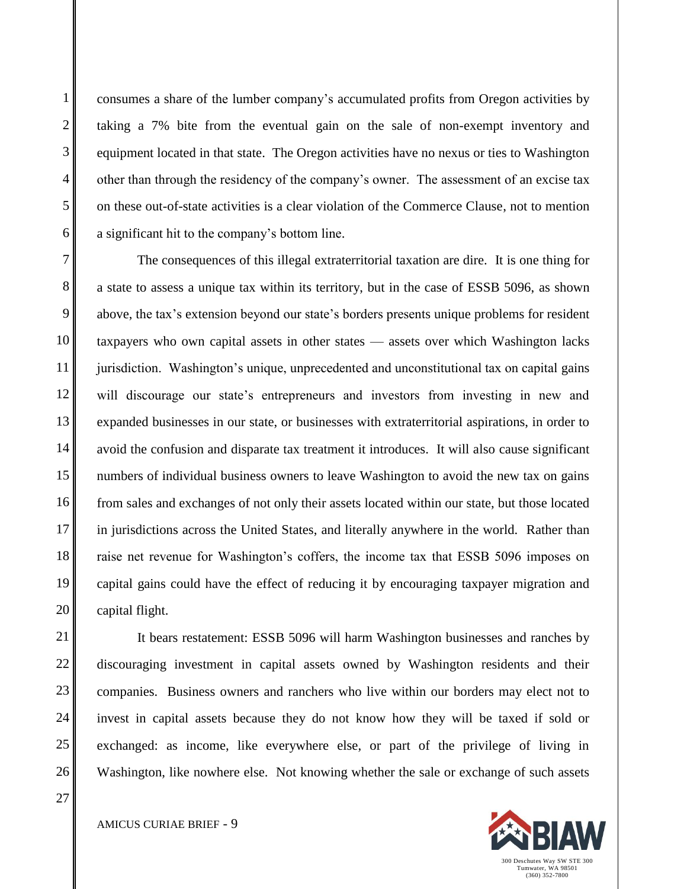consumes a share of the lumber company's accumulated profits from Oregon activities by taking a 7% bite from the eventual gain on the sale of non-exempt inventory and equipment located in that state. The Oregon activities have no nexus or ties to Washington other than through the residency of the company's owner. The assessment of an excise tax on these out-of-state activities is a clear violation of the Commerce Clause, not to mention a significant hit to the company's bottom line.

The consequences of this illegal extraterritorial taxation are dire. It is one thing for a state to assess a unique tax within its territory, but in the case of ESSB 5096, as shown above, the tax's extension beyond our state's borders presents unique problems for resident taxpayers who own capital assets in other states — assets over which Washington lacks jurisdiction. Washington's unique, unprecedented and unconstitutional tax on capital gains will discourage our state's entrepreneurs and investors from investing in new and expanded businesses in our state, or businesses with extraterritorial aspirations, in order to avoid the confusion and disparate tax treatment it introduces. It will also cause significant numbers of individual business owners to leave Washington to avoid the new tax on gains from sales and exchanges of not only their assets located within our state, but those located in jurisdictions across the United States, and literally anywhere in the world. Rather than raise net revenue for Washington's coffers, the income tax that ESSB 5096 imposes on capital gains could have the effect of reducing it by encouraging taxpayer migration and capital flight.

It bears restatement: ESSB 5096 will harm Washington businesses and ranches by discouraging investment in capital assets owned by Washington residents and their companies. Business owners and ranchers who live within our borders may elect not to invest in capital assets because they do not know how they will be taxed if sold or exchanged: as income, like everywhere else, or part of the privilege of living in Washington, like nowhere else. Not knowing whether the sale or exchange of such assets

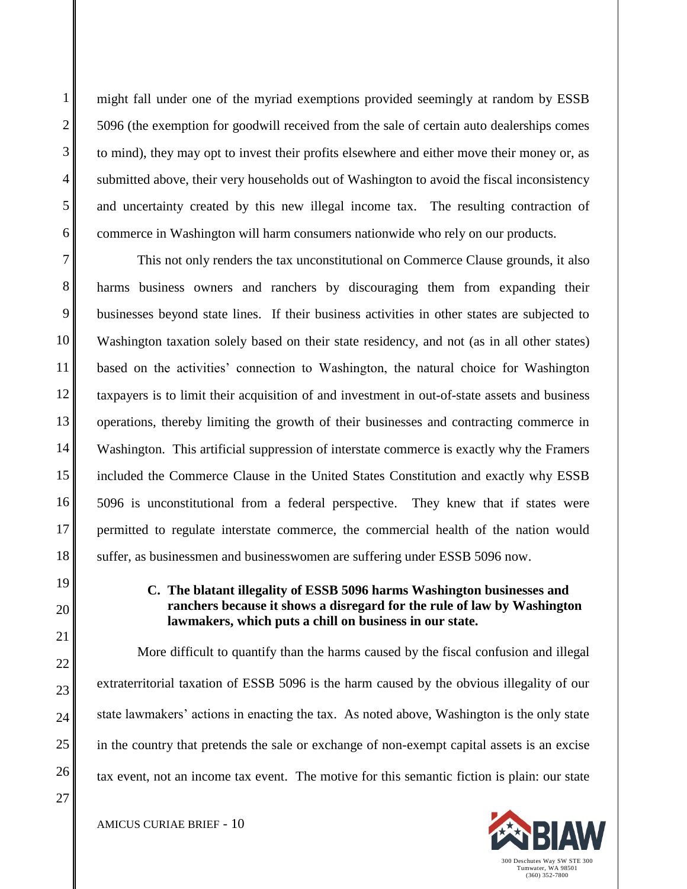might fall under one of the myriad exemptions provided seemingly at random by ESSB 5096 (the exemption for goodwill received from the sale of certain auto dealerships comes to mind), they may opt to invest their profits elsewhere and either move their money or, as submitted above, their very households out of Washington to avoid the fiscal inconsistency and uncertainty created by this new illegal income tax. The resulting contraction of commerce in Washington will harm consumers nationwide who rely on our products.

This not only renders the tax unconstitutional on Commerce Clause grounds, it also harms business owners and ranchers by discouraging them from expanding their businesses beyond state lines. If their business activities in other states are subjected to Washington taxation solely based on their state residency, and not (as in all other states) based on the activities' connection to Washington, the natural choice for Washington taxpayers is to limit their acquisition of and investment in out-of-state assets and business operations, thereby limiting the growth of their businesses and contracting commerce in Washington. This artificial suppression of interstate commerce is exactly why the Framers included the Commerce Clause in the United States Constitution and exactly why ESSB 5096 is unconstitutional from a federal perspective. They knew that if states were permitted to regulate interstate commerce, the commercial health of the nation would suffer, as businessmen and businesswomen are suffering under ESSB 5096 now.

## **C. The blatant illegality of ESSB 5096 harms Washington businesses and ranchers because it shows a disregard for the rule of law by Washington lawmakers, which puts a chill on business in our state.**

More difficult to quantify than the harms caused by the fiscal confusion and illegal extraterritorial taxation of ESSB 5096 is the harm caused by the obvious illegality of our state lawmakers' actions in enacting the tax. As noted above, Washington is the only state in the country that pretends the sale or exchange of non-exempt capital assets is an excise tax event, not an income tax event. The motive for this semantic fiction is plain: our state

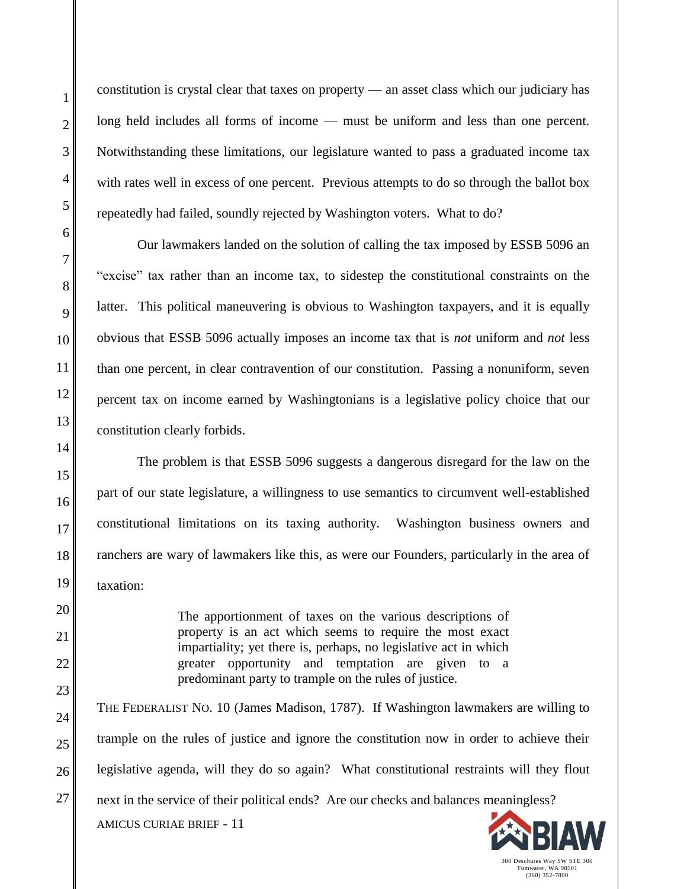constitution is crystal clear that taxes on property — an asset class which our judiciary has long held includes all forms of income — must be uniform and less than one percent. Notwithstanding these limitations, our legislature wanted to pass a graduated income tax with rates well in excess of one percent. Previous attempts to do so through the ballot box repeatedly had failed, soundly rejected by Washington voters. What to do?

Our lawmakers landed on the solution of calling the tax imposed by ESSB 5096 an "excise" tax rather than an income tax, to sidestep the constitutional constraints on the latter. This political maneuvering is obvious to Washington taxpayers, and it is equally obvious that ESSB 5096 actually imposes an income tax that is *not* uniform and *not* less than one percent, in clear contravention of our constitution. Passing a nonuniform, seven percent tax on income earned by Washingtonians is a legislative policy choice that our constitution clearly forbids.

The problem is that ESSB 5096 suggests a dangerous disregard for the law on the part of our state legislature, a willingness to use semantics to circumvent well-established constitutional limitations on its taxing authority. Washington business owners and ranchers are wary of lawmakers like this, as were our Founders, particularly in the area of taxation:

> The apportionment of taxes on the various descriptions of property is an act which seems to require the most exact impartiality; yet there is, perhaps, no legislative act in which greater opportunity and temptation are given to a predominant party to trample on the rules of justice.

AMICUS CURIAE BRIEF - 11 THE FEDERALIST NO. 10 (James Madison, 1787). If Washington lawmakers are willing to trample on the rules of justice and ignore the constitution now in order to achieve their legislative agenda, will they do so again? What constitutional restraints will they flout next in the service of their political ends? Are our checks and balances meaningless?

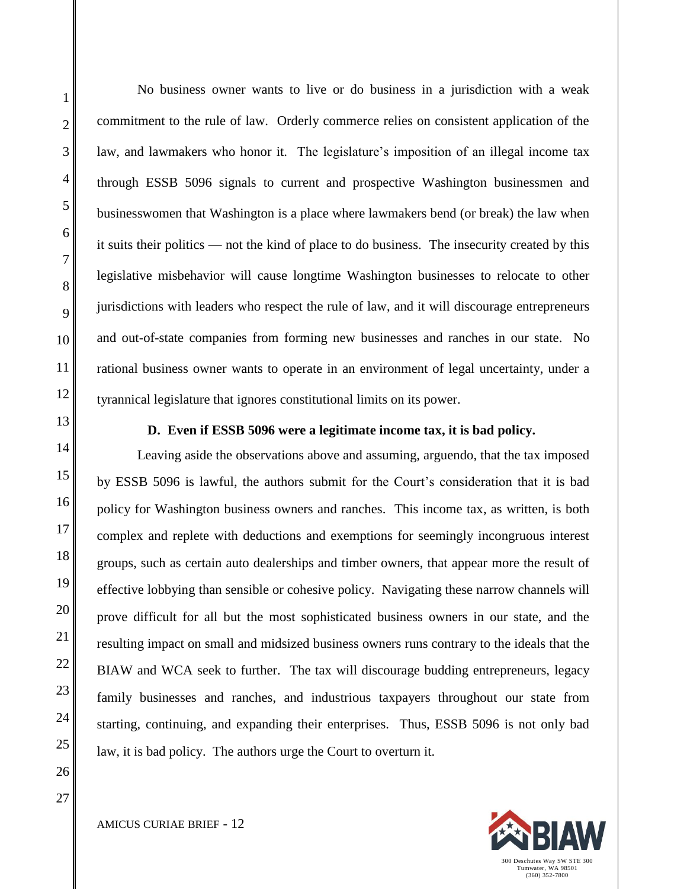No business owner wants to live or do business in a jurisdiction with a weak commitment to the rule of law. Orderly commerce relies on consistent application of the law, and lawmakers who honor it. The legislature's imposition of an illegal income tax through ESSB 5096 signals to current and prospective Washington businessmen and businesswomen that Washington is a place where lawmakers bend (or break) the law when it suits their politics — not the kind of place to do business. The insecurity created by this legislative misbehavior will cause longtime Washington businesses to relocate to other jurisdictions with leaders who respect the rule of law, and it will discourage entrepreneurs and out-of-state companies from forming new businesses and ranches in our state. No rational business owner wants to operate in an environment of legal uncertainty, under a tyrannical legislature that ignores constitutional limits on its power.

#### **D. Even if ESSB 5096 were a legitimate income tax, it is bad policy.**

Leaving aside the observations above and assuming, arguendo, that the tax imposed by ESSB 5096 is lawful, the authors submit for the Court's consideration that it is bad policy for Washington business owners and ranches. This income tax, as written, is both complex and replete with deductions and exemptions for seemingly incongruous interest groups, such as certain auto dealerships and timber owners, that appear more the result of effective lobbying than sensible or cohesive policy. Navigating these narrow channels will prove difficult for all but the most sophisticated business owners in our state, and the resulting impact on small and midsized business owners runs contrary to the ideals that the BIAW and WCA seek to further. The tax will discourage budding entrepreneurs, legacy family businesses and ranches, and industrious taxpayers throughout our state from starting, continuing, and expanding their enterprises. Thus, ESSB 5096 is not only bad law, it is bad policy. The authors urge the Court to overturn it.

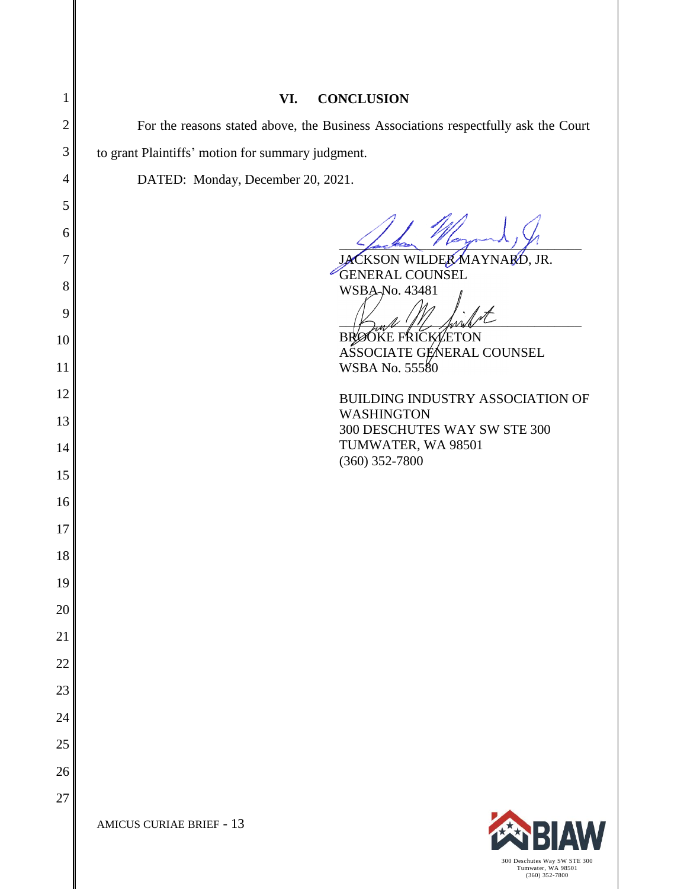| 1              | VI.<br><b>CONCLUSION</b>                                                           |  |
|----------------|------------------------------------------------------------------------------------|--|
| $\overline{2}$ | For the reasons stated above, the Business Associations respectfully ask the Court |  |
| 3              | to grant Plaintiffs' motion for summary judgment.                                  |  |
| 4              | DATED: Monday, December 20, 2021.                                                  |  |
| 5              |                                                                                    |  |
| 6              |                                                                                    |  |
| 7              | JACKSON WILDER MAYNARD, JR.                                                        |  |
| 8              | <b>GENERAL COUNSEL</b><br>WSBA-No. 43481                                           |  |
| 9              |                                                                                    |  |
| 10             | <b>BRØÓKE FRICK/ETON</b>                                                           |  |
| 11             | ASSOCIATE GENERAL COUNSEL<br>WSBA No. 55580                                        |  |
| 12             | BUILDING INDUSTRY ASSOCIATION OF                                                   |  |
| 13             | WASHINGTON                                                                         |  |
| 14             | 300 DESCHUTES WAY SW STE 300<br>TUMWATER, WA 98501                                 |  |
| 15             | $(360)$ 352-7800                                                                   |  |
| 16             |                                                                                    |  |
| 17             |                                                                                    |  |
| 18             |                                                                                    |  |
| 19             |                                                                                    |  |
| 20             |                                                                                    |  |
| 21             |                                                                                    |  |
| 22             |                                                                                    |  |
| 23             |                                                                                    |  |
| 24             |                                                                                    |  |
| 25             |                                                                                    |  |
| 26             |                                                                                    |  |
| 27             |                                                                                    |  |
|                | <b>EN BIAW</b><br><b>AMICUS CURIAE BRIEF - 13</b>                                  |  |

300 Deschutes Way SW STE 300 Tumwater, WA 98501 (360) 352-7800